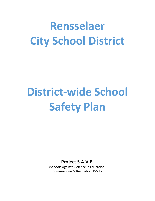# **Rensselaer City School District**

# **District-wide School Safety Plan**

# **Project S.A.V.E.**

(Schools Against Violence in Education) Commissioner's Regulation 155.17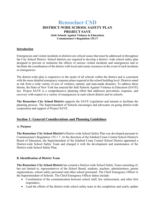# **Rensselaer CSD DISTRICT-WIDE SCHOOL SAFETY PLAN PROJECT SAVE (Safe Schools Against Violence in Education) Commissioner's Regulation 155.17**

#### **Introduction**

Emergencies and violent incidents in districts are critical issues that must be addressed in throughout the City School District. School districts are required to develop a district- wide school safety plan designed to prevent or minimize the effects of serious violent incidents and emergencies and to facilitate the coordination of the district with local and county resources in the event of such incidents or emergencies.

The district-wide plan is responsive to the needs of all schools within the district and is consistent with the more detailed emergency response plans required at the school building level. Districts stand at risk from a wide variety of acts of violence, natural, and man-made disasters. To address these threats, the State of New York has enacted the Safe Schools Against Violence in Education (SAVE) law. Project SAVE is a comprehensive planning effort that addresses prevention, response, and recovery with respect to a variety of emergencies in each school district and its schools.

**The Rensselaer City School District** supports the SAVE Legislation and intends to facilitate the planning process. The Superintendent of Schools encourages and advocates on-going district-wide cooperation and support of Project SAVE.

#### **Section 1: General Considerations and Planning Guidelines**

#### **A. Purpose**

**The Rensselaer City School District's** District-wide School Safety Plan was developed pursuant to Commissioner's Regulation 155.1 7. At the direction of the Ichabod Crane Central School District's Board of Education, the Superintendent of the Ichabod Crane Central School District appointed a District-wide School Safety Team and charged it with the development and maintenance of the District-wide School Safety Plan.

#### **B. Identification of District Team**

**The Rensselaer City School District** has created a District-wide School Safety Team consisting of, but not limited to, representatives of the School Board, students, teachers, administrators, parent organizations, school safety personnel and other school personnel. The Chief Emergency Officer is the Superintendent of Schools. The Chief Emergency Officer duties include:

- Coordination of the communication between school staff, law enforcement, and other first responders;
- Lead the efforts of the district-wide school safety team in the completion and yearly update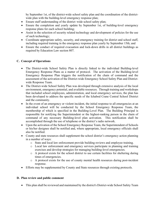by September 1st, of the district-wide school safety plan and the coordination of the districtwide plan with the building-level emergency response plan;

- Ensure staff understanding of the district–wide school safety plan;
- Ensure the completion and yearly update by September 1st, of building-level emergency response plans for each school building;
- Assist in the selection of security related technology and development of policies for the use of such technology;
- Coordinate appropriate safety, security, and emergency training for district and school staff, including required training in the emergency response plan yearly by September 15th; and
- Ensure the conduct of required evacuation and lock-down drills in all district buildings as required by Education Law section 807.

#### **C. Concept of Operations**

- The District-wide School Safety Plan is directly linked to the individual Building-level Emergency Response Plans as a matter of protocol. The activation of the Building-level Emergency Response Plan triggers the notification of the chain of command and the assessment of the activation of the District-wide Emergency School Safety Plan and Districtwide Response Team.
- The District-wide School Safety Plan was developed through extensive analysis of the local environment, emergency potential, and available resources. Through training and workshops that included school employees, administration, and local emergency services, the plan has been developed to address the specific needs of the Ichabod Crane Central School District and the community.
- In the event of an emergency or violent incident, the initial response to all emergencies at an individual school will be conducted by the School Emergency Response Team, the membership of which is specified in the Building-Level Plan. The Building Principal is responsible for notifying the Superintendent or the highest-ranking person in the chain of command of any necessary Building-level plan activation. This notification shall be accomplished through the use of telephone or the district's radio network.
- Upon the activation of the School Emergency Response Team, the Superintendent of Schools or his/her designee shall be notified and, where appropriate, local emergency officials shall also be notified.
- County and state resources shall supplement the school district's emergency action planning in a number of ways:
	- o State and local law enforcement provide building reviews and employee training.
	- o Local law enforcement and emergency services participate in planning and training exercises and develop strategies for managing building-level emergencies.
	- o A protocol exists for the school district to use certain facilities for sheltering during times of emergencies.
	- o A protocol exists for the use of county mental health resources during post-incident response.
- Efforts may be supplemented by County and State resources through existing protocols.

#### **D. Plan review and public comment**

This plan shall be reviewed and maintained by the district's District-wide School Safety Team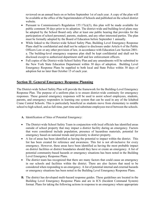reviewed on an annual basis on or before September 1st of each year. A copy of the plan will be available at the office of the Superintendent of Schools and published on the school district website.

- Pursuant to Commissioner's Regulation 155.17 $(e)(3)$ , this plan will be made available for public comment 30 days prior to its adoption. The district-wide and building-level plans may be adopted by the School Board only after at least one public hearing that provides for the participation of school personnel, parents, students, and any other interested parties. The plan must be formally adopted by the Board of Education before September 1 annually.
- While linked to the District-wide School Safety Plan, Building Level Emergency Response Plans shall be confidential and shall not be subject to disclosure under Article 6 of the Public Officers Law or any other provision of law, in accordance with Education Law Section 2801 a. The building-level emergency response plan shall be kept confidential and shall not be disclosed except to authorized department staff and law enforcement officers.
- Full copies of the District-wide School Safety Plan and any amendments will be submitted to the New York State Education Department within 30 days of adoption. Building Level Emergency Response Plans be supplied to both local and State Police within 30 days of adoption but no later than October 15 of each year.

## **Section II: General Emergency Response Planning**

The District-wide School Safety Plan will provide the framework for the Building-Level Emergency Response Plan. The purpose of a uniform plan is to ensure district-wide continuity for emergency responses. These general emergency responses will be used to assist school employees, students, parents, and emergency responders in learning one system that can be used in any of the Ichabod Crane Central Schools. This is particularly beneficial as students move from elementary to middle school to high school, and as full-time, part-time and substitute employees travel between the schools.

- **A.** Identification of Sites of Potential Emergency:
- The District-wide School Safety Team in conjunction with local officials has identified areas outside of school property that may impact a district facility during an emergency. Factors that were considered include population, presence of hazardous materials, potential for emergency based on national trends and proximity to district property.
- A list of areas has been identified as having the potential to impact within the district. This list has been created for reference and awareness. This list is not all-inclusive for every emergency. However, these areas have been identified as having the most probable impact on district facilities or district boundaries should they have or create an emergency. A list of potential community-based hazards or emergency situations has been noted in the Building Level Emergency Response Plans.
- The district team has recognized that there are many factors that could cause an emergency in our schools and facilities within the district. There are also factors that need to be considered when responding to an emergency. A list of potential internal and external hazards or emergency situations has been noted in the Building Level Emergency Response Plans.
- **B.** The district has developed multi-hazard response guides. These guidelines are located in the Building Level Emergency Response Plans and are in ICS (Incident Command System) format. Plans for taking the following actions in response to an emergency where appropriate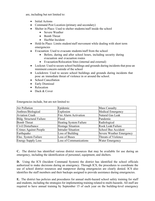are, including but not limited to:

- Initial Actions
- Command Post Location (primary and secondary)
- Shelter in Place: Used to shelter students/staff inside the school
	- Severe Weather
		- Bomb Threat
	- HazMat Incident
- Hold-In Place: Limits student/staff movement while dealing with short term emergencies
- Evacuation: Used to evacuate students/staff from the school
	- Before, during and after school hours, including security during evacuation and evacuation routes
	- Evacuation/Relocation Sites (internal and external)
- Lockout: Used to secure school buildings and grounds during incidents that pose an imminent concern outside of the school
- Lockdown: Used to secure school buildings and grounds during incidents that pose an immediate threat of violence in or around the school.
- School Cancellation
- Early Dismissal
- Relocation
- Duck & Cover

| Air Pollution             | Epidemic                      | <b>Mass Casualty</b>     |
|---------------------------|-------------------------------|--------------------------|
| Anthrax/Biological        | Explosion                     | Medical Emergency        |
| <b>Aviation Crash</b>     | Fire Alarm Activation         | Natural Gas Leak         |
| Bldg. Structural Failure  | Flood                         | Pandemic                 |
| <b>Bomb Threat</b>        | <b>Heating System Failure</b> | Radiological             |
| Civil Disturbance         | <b>Hostage Situation</b>      | Rook Leak/Failure        |
| Crimes Against People     | <b>Intruder Situation</b>     | School Bus Accident      |
| Earthquake                | Loss of Building              | Severe Weather Emergency |
| Elec. System Failure      | Loss of Buses                 | Threats of Violence      |
| <b>Energy Supply Loss</b> | Loss of Communications        | <b>Water Emergency</b>   |

Emergencies include, but are not limited to:

**C.** The district has identified various district resources that may be available for use during an emergency, including the identification of personnel, equipment, and shelters.

**D.** Using the ICS (Incident Command System) the district has identified the school officials authorized to make decisions during an emergency. Through ICS, the procedures to coordinate the use of school district resources and manpower during emergencies are clearly denied. ICS also identifies the staff members and their backups assigned to provide assistance during emergencies.

**E.** The district has policies and procedures for annual multi-hazard school safety training for staff and students, including the strategies for implementing training related to multi-hazards. All staff are required to have annual training by September 15 of each year on the building-level emergency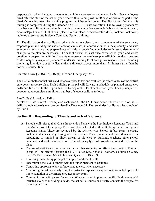response plan which includes components on violence prevention and mental health. New employees hired after the start of the school year receive this training within 30 days of hire or as part of the district's existing new hire training program, whichever is sooner. The district certifies that this training is completed during the October NYSED BEDS data collection. The following procedures have been established to provide this training on an annual basis to include but not limited to: early dismissal/go home drill, shelter-in place, hold-in-place, evacuation/fire drills, lockout, lockdown, table top exercises and Incident Command System training.

**F.** The district conducts drills and other training exercises to test components of the emergency response plan, including the use of tabletop exercises, in coordination with local, county, and state emergency responders and preparedness officials. A debriefing concludes each test to determine if changes to the plan are necessary. The school district, at least once every school year, and where possible in cooperation with local county emergency preparedness plan officials, conducts one test of its emergency response procedures under its building-level emergency response plan, including sheltering, lock-down, or early dismissal, at a time not to occur more than 15 minutes earlier than the normal dismissal time.

Education Law §§ 807(1-a), 807 (b): Fire and Emergency Drills

The district shall conduct drills and other exercises to test and evaluate the effectiveness of the district emergency response plan. Each building principal will forward a schedule of planned emergency drills and fire drills to the Superintendent by September 15 of each school year. Each principal will be required to complete a minimum number of student drills as follows:

#### Fire Drills & Lockdown Drills

A total of 12 drills must be completed each year. Of the 12, 4 must be lock-down drills. 8 of the 12 drills (combination of) must be completed by December 31. The remainder 4 drills must be completed by June 1.

# **Section III: Responding to Threats and Acts of Violence**

- **A.** Schools will refer to their Crisis Intervention Plans via the Post-Incident Response Team and the Multi-Hazard Emergency Response Guides located in their Building-Level Emergency Response Plans. These are reviewed by the District-wide School Safety Team to ensure content and consistency throughout the district. These policies and procedures are for responding to implied or direct threats of violence by students, teachers, other school personnel and visitors to the school. The following types of procedures are addressed in the plan:
- The use of staff trained in de-escalation or other strategies to diffuse the situation. Training is and will be offered through the NYS Police Safe Schools Program, Columbia County Sheriff's Department, NYS Police, and Questar III BOCES.
- Informing the building principal of implied or direct threats.
- Determining the level of threat with the Superintendent or designee.
- Contacting appropriate law enforcement agency, when necessary.
- Monitoring the situation, adjusting the district's responses as appropriate to include possible implementation of the Emergency Response Team.
- Communication with parents/guardians. When a student implies or specifically threatens selfinflicted violence including suicide, the school's Counselor directly contacts the respective parents/guardians.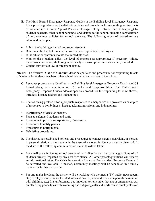- **B.** The Multi-Hazard Emergency Response Guides in the Building-level Emergency Response Plans provide guidance on the district's policies and procedures for responding to direct acts of violence (i.e. Crimes Against Persons, Hostage Taking, Intruder and Kidnapping) by students, teachers, other school personnel and visitors to the school, including consideration of zero-tolerance policies for school violence. The following types of procedures are addressed in the plan:
- Inform the building principal and superintendent.
- Determine the level of threat with principal and superintendent/designee.
- If the situation warrants, isolate the immediate area.
- Monitor the situation; adjust the level of response as appropriate; if necessary, initiate lockdown, evacuation, sheltering and/or early dismissal procedures as needed, if needed.
- Contact appropriate law enforcement agency.

**NOTE:** The district's "**Code of Conduct**'' describes policies and procedures for responding to acts of violence by students, teachers, other school personnel and visitors to the school.

- **C.** Response protocols are identifier in the Building-level Emergency Response Plan in the ICS format along with renditions of ICS Roles and Responsibilities. The Multi-Hazard Emergency Response Guides address specifies procedures for responding to bomb threats, intruders, hostage takings and kidnappings.
- **D.** The following protocols for appropriate responses to emergencies are provided as examples of responses to bomb threats, hostage takings, intrusions, and kidnappings:
- Identification of decision-makers.
- Plans to safeguard students and staff.
- Procedures to provide transportation, if necessary.
- Procedures to notify parents.
- Procedures to notify media.
- Debriefing procedures.
- **E.** The district has established policies and procedures to contact parents, guardians, or persons in parental relation to the students in the event of a violent incident or an early dismissal. In the district, the following communication methods will be taken:
- For small-scale incidents, school personnel will directly call the parents/guardians of all students directly impacted by any acts of violence. AII other parents/guardians will receive an informational letter. The Crisis Intervention Plans and Post-incident Response Team will be activated and available. If needed, community meetings will be scheduled in a timely manner for further discussion.
- For any major incident, the district will be working with the media (TV, radio, newspapers, etc.) to relay pertinent school related information (i.e., how and where can parents be reunited with children, etc.) It is unfortunate, but important to remember that major emergencies can quietly tie up phone lines with in coming and out-going calls and roads can be quickly blocked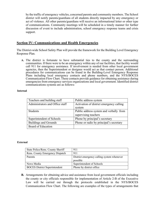by the traffic of emergency vehicles, concerned parents and community members. The School district will notify parents/guardians of all students directly impacted by any emergency or act of violence. All other parents/guardians will receive an informational letter or other type of communications. Community meetings will be scheduled in a timely manner for further discussion of event to include administration, school emergency response teams and crisis support.

### **Section IV: Communications and Health Emergencies**

The District-wide School Safety Plan will provide the framework for the Building Level Emergency Response Plan.

**A.** The district is fortunate to have substantial ties to the county and the surrounding communities. If there were to be an emergency within any of our facilities, that facility would call 911 for emergency assistance. If involvement is needed from other local government agencies, then the Superintendent or designee would act as that contact person. Additional procedures for communications can be found in the Building-Level Emergency Response Plans including local emergency contacts and phone numbers, and the NYS/BOCES Communication Flow Chart. These contacts provide guidance for obtaining assistance during emergencies from emergency services organizations and local government. Identified district communications systems are as follows:

#### **Internal**

| Teachers and building staff     | Public address system                    |
|---------------------------------|------------------------------------------|
| Administrators and Office staff | Activation of district emergency calling |
|                                 | system                                   |
| <b>Students</b>                 | Public address system and verbally from  |
|                                 | supervising teachers                     |
| Superintendent of Schools       | Phone by principal's secretary           |
| <b>Buildings and Grounds</b>    | Phone or radio by principal's secretary  |
| Board of Education              |                                          |

#### **External**

| State Police/Rens. County Sheriff    | 911                                        |
|--------------------------------------|--------------------------------------------|
| Rens. County Emergency Dispatch      | 911                                        |
| Parents                              | District emergency calling system whenever |
|                                      | possible                                   |
| News Media                           | Superintendent of Schools                  |
| <b>BOCES District Superintendent</b> | Phone by district office                   |

**B.** Arrangements for obtaining advice and assistance from local government officials including the county or city officials responsible for implementation of Article 2-B of the Executive Law will be carried out through the protocols established in the NYS/BOCES Communication Flow Chart. The following are examples of the types of arrangements that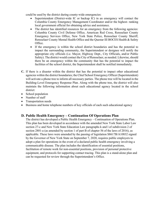could be used by the district during county-wide emergencies:

- Superintendent (District-wide IC or backup IC) in an emergency will contact the Columbia County Emergency Management Coordinator and/or the highest- ranking local government official for obtaining advice and assistance.
- The district has identified resources for an emergency from the following agencies: Columbia County Civil Defense Office, American Red Cross, Rensselaer County Emergency Services Office, New York State Police, Rensselaer County Sheriff, Rensselaer County Mental Health Office and the Questar III BOCES Health & Safety Office.
- If the emergency is within the school district boundaries and has the potential to impact the surrounding community, the Superintendent or designee will notify the appropriate city officials (i.e. Mayor, Highway Dept., City Officials, and/or Public Safety). The district would contact the City of Rensselaer, as needed. Likewise, should there be an emergency within the community that has the potential to impact the facilities of the school district, the Superintendent shall be notified immediately.
- **C.** If there is a disaster within the district that has the potential to impact other educational agencies within the district boundaries; the Chief School Emergency Officer (Superintendent) will activate a phone tree to inform all necessary parties. The phone tree will be located in the Building-Level Emergency Response Plan. Along with the phone tree, the district will also maintain the following information about each educational agency located in the school district:
- $\bullet$  School population
- Number of staff
- Transportation needs
- Business and home telephone numbers of key officials of each such educational agency

## **D. Public Health Emergency – Continuation Of Operations Plan**

The district has developed a Public Health Emergency – Continuation of Operations Plan. This plan has been developed in accordance with the amended New York State Labor Law section 27-c and New York State Education Law paragraphs k and l of subdivision 2 of section 2801-a (as amended by section 1 of part B of chapter 56 of the laws of 2016), as applicable. These laws were amended by the passing of legislation S8617B/A10832 signed by the Governor of New York State on September 7, 2020, requires public employers to adopt a plan for operations in the event of a declared public health emergency involving a communicable disease. The plan includes the identification of essential positions, facilitation of remote work for non-essential positions, provision of personal protective equipment, and protocols for supporting contact tracing. This plan is a stand-alone plan and can be requested for review through the Superintendent's Office.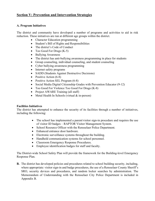## **Section V: Prevention and Intervention Strategies**

#### **A. Program Initiatives**

The district and community have developed a number of programs and activities to aid in risk reduction. These initiatives are run at different age groups within the district.

- Character Education programming
- Student's Bill of Rights and Responsibilities
- The district's Code of Conduct
- Too Good For Drugs (K-5)
- Bullying Awareness
- The district has anti-bullying awareness programming in place for students
- Group counseling, individual counseling, and student counseling
- Cyber bullying awareness programming
- Internet safety programs
- SADD (Students Against Destructive Decisions)
- Positive Action  $(6-8)$
- Positive Action SEL Program (6-8)
- Social Media Digital Citizenship Grades with Prevention Educator (9-12)
- Too Good For Violence Too Good For Drugs (K-8)
- Project AWARE Training (all staff)
- $\bullet$  Metal Health In Schools (virtual & in-person)

#### **Facilities Initiatives**

The district has attempted to enhance the security of its facilities through a number of initiatives, including the following:

- The school has implemented a parent/visitor sign-in procedure and requires the use of visitor ID badges – RAPTOR Visitor Management System.
- School Resource Officer with the Rensselaer Police Department.
- Enhanced entrance door hardware.
- Electronic surveillance systems throughout the building.
- Handheld communication systems for school personnel.
- Classroom Emergency Response Procedures.
- Employee identification badges for staff and faculty.

The District-wide School Safety Plan will provide the framework for the Building-level Emergency Response Plan.

**B.** The district has developed policies and procedures related to school building security, including, where appropriate: visitor sign-in and badge procedures, the use of a Rensselaer County Sheriff's SRO, security devices and procedures, and random locker searches by administration. The Memorandum of Understanding with the Rensselaer City Police Department is included in Appendix B.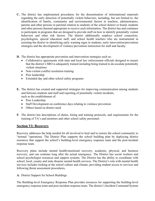- **C.** The district has implemented procedures for the dissemination of informational materials regarding the early detection of potentially violent behaviors, including, but not limited to: the identification of family, community and environmental factors to teachers, administrators, parents and other persons in parental relation to students of the school district or board, students and other persons deemed appropriate to receive such information. The district has and continues to participate in programs that are designed to provide staff on how to identify potentially violent behaviors and other risk factors. The district additionally employs school counselors, psychologists, special education staff, and school health teachers who are instrumental in assisting the district in identifying early warning signs in students, early intervention/prevention strategies and the development of violence prevention instruction for staff and faculty.
- **D.** The district has appropriate prevention and intervention strategies such as:
	- Collaborative agreements with state and local law enforcement officials designed to ensure that the district's SRO is adequately trained including being trained to do-escalate potentially violent situations
	- Non-violent conflict resolution training
	- Peer leadership
	- Extended day and other school safety programs
- **E.** The district has created and supported strategies for improving communication among students and between students and staff and reporting of potentially violent incidents, such as the establishment of:
	- Peer Leadership
	- Staff Development on conference days relating to violence prevention
	- Others based on district need
- **F.** The district has descriptions of duties, hiring and training protocols, and requirements for the training of TA's and monitors and other school safety personnel.

#### **Section VI: Recovery**

Recovery addresses the help needed for all involved to heal and to restore the school community to "normal "operations. The District Plan supports the school building plan by deploying district resources that support the school's building-level emergency response team and the post-incident response team.

Recovery plans include mental health/emotional recovery, academic, physical, and business recovery, and can continue long after the actual emergency. The District has social workers and school psychologist resources and support systems. The District has the ability to coordinate with school, local, county and state disaster mental health services. The District's role with mental health services includes looking at the school culture and climate, providing student access to services and following threat assessment procedures**.** 

**A.** District Support for School Buildings

The Building-level Emergency Response Plan provides resources for supporting the building-level emergency response team and post-incident response team. The district's Incident Command System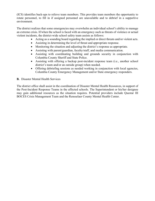(ICS) identifies back-ups to relieve team members. This provides team members the opportunity to rotate personnel, to fill in if assigned personnel are unavailable and to debrief in a supportive environment.

The district realizes that some emergencies may overwhelm an individual school's ability to manage an extreme crisis. If/when the school is faced with an emergency such as threats of violence or actual violent incidents, the district-wide school safety team assists as follows:

- Acting as a sounding board regarding the implied or direct threats and/or violent acts.
- Assisting in determining the level of threat and appropriate response.
- Monitoring the situation and adjusting the district's response as appropriate.
- Assisting with parent/guardian, faculty/staff, and media communication.
- Assisting with coordinating building and grounds security in conjunction with Columbia County Sheriff and State Police.
- Assisting with offering a backup post-incident response team (i.e., another school district's team and/or an outside group) when needed.
- Offering debriefing sessions as needed working in conjunction with local agencies, Columbia County Emergency Management and/or State emergency responders.

**B.** Disaster Mental Health Services

The district office shall assist in the coordination of Disaster Mental Health Resources, in support of the Post-Incident Response Teams in the affected schools. The Superintendent or his/her designee may gain additional resources as the situation requires. Potential providers include Questar III BOCES Crisis Management Team and the Rensselaer County Mental Health Center.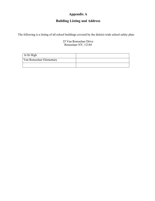# **Appendix A**

# **Building Listing and Address**

The following is a listing of all school buildings covered by the district-wide school safety plan:

25 Van Rensselaer Drive Rensselaer NY, 12144

| Jr-Sr High                |  |
|---------------------------|--|
| Van Rensselaer Elementary |  |
|                           |  |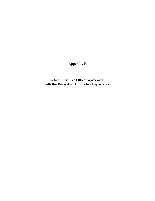**Appendix B** 

**School Resource Officer Agreement with the Rensselaer City Police Department**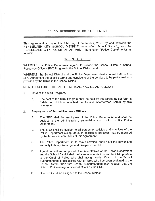#### **SCHOOL RESOURCE OFFICER AGREEMENT**

This Agreement is made, this 21st day of September, 2016, by and between the RENSSELAER CITY SCHOOL DISTRICT (hereinafter "School District"), and the RENSSELAER CITY POLICE DEPARTMENT (hereinafter "Police Department:) as follows:

#### WITNESSETH:

WHEREAS, the Police Department agrees to provide the School District a School Resources Officer (SRO) Program in the School District; and

WHEREAS, the School District and the Police Department desire to set forth in this SRO Agreement the specific terms and conditions of the services to be performed and provided by the SROs in the School District;

NOW, THEREFORE, THE PARTIES MUTUALLY AGREE AS FOLLOWS:

#### $1.$ Cost of the SRO Program.

A. The cost of the SRO Program shall be paid by the parties as set forth in Exhibit A, which is attached hereto and incorporated herein by this reference.

#### $2.$ **Employment of School Resource Officers.**

- The SRO shall be employees of the Police Department and shall be A. subject to the administration, supervision and control of the Police Department.
- The SRO shall be subject to all personnel policies and practices of the **B.** Police Department except as such policies or practices may be modified by the terms and conditions of this Agreement.
- The Police Department, in its sole discretion, shall have the power and  $C_{1}$ authority to hire, discharge, and discipline the SRO.
- A joint committee composed of representatives of the Police Department D. and the School District shall make recommendations for the SRO position to the Chief of Police who shall assign such officer. If the School Superintendent is dissatisfied with an SRO who has been assigned to the School District, then that School Superintendent may request that the Chief of Police assign a different officer as the SRO.
- Ε. One SRO shall be assigned to the School District.

 $\mathbf{1}$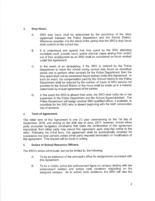#### **Duty Hours.** 3.

- SRO duty hours shall be determined by the provisions of the labor A. agreement between the Police Department and the School District. Whenever possible, it is the intent of the parties that the SRO's duty hours shall conform to the school day.
- It is understood and agreed that time spent by the SRO attending **B.** municipal court, juvenile court, and/or criminal cases arising from and/or out of their employment as an SRO shall be considered as hours worked under this Agreement.
- In the event of an emergency, if the SRO is ordered by the Police  $C_{1}$ Department to leave the school during normal duty hours as described above and to perform other services for the Police Department, then the time spent shall not be considered hours worked under this Agreement. In such an event, the compensation paid by the School District to the Police Department shall be reduced by the number of hours of SRO service not provided to the School District or the hours shall be made up in a manner determined by mutual agreement of the parties.
- In the event the SRO is absent from work, the SRO shall notify his or her D. supervisor in the Police Department and the School Superintendent. The Police Department will assign another SRO qualified officer, if available, to substitute for the SRO who is absent beginning with the sixth consecutive day of absence.

#### 4. **Term of Agreement.**

The initial term of this Agreement is one (1) year commencing on the 1st day of September, 2016, and ending on the 30th day of June, 2017, however, should either party encounter budgetary constraints that make the continuation of this agreement impractical, then either party may cancel this agreement upon sixty-day notice to the other. Following the initial term, this agreement shall be automatically renewed for successive one year periods unless either party requests termination or modification of this agreement. This request will be made in writing.

#### **Duties of School Resource Officers.** 5.

The SRO's duties will include, but not be limited to, the following:

- To be an extension of the principal's office for assignments consistent with A. this Agreement.
- To be a visible, active law enforcement figure on campus dealing with law Β. enforcement matters and school code violations originating on the assigned campus. As to school code violations, the SRO will take the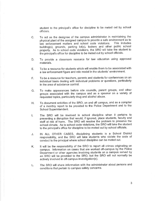student to the principal's office for discipline to be meted out by school officials.

- To act as the designee of the campus administrator in maintaining the  $C_{-}$ physical plant of the assigned campus to provide a safe environment as to law enforcement matters and school code violations. This includes building(s), grounds, parking lot(s), lockers and other public school property. As to school code violations, the SRO will take the student to the principal's office for discipline to be meted out by school officials.
- To provide a classroom resource for law education using approved D. materials.
- To be a resource for students which will enable them to be associated with Е. a law enforcement figure and role model in the students' environment.
- To be a resource for teachers, parents and students for conferences on an  $F_{\star}$ individual basis dealing with individual problems or questions, particularly in the area of substance control.
- To make appearances before site councils, parent groups, and other G. groups associated with the campus and as a speaker on a variety of requested topics, particularly drug and alcohol abuse.
- To document activities of the SRO, on and off campus, and as a compiler H. of a monthly report to be provided to the Police Department and to the School Superintendent.
- The SRO will be involved in school discipline when it pertains to  $\mathbf{L}$ preventing a disruption that would, if ignored, place students, faculty and staff at risk of harm. The SRO will resolve the problem to preserve the school climate. As to school code violations, the SRO will take the student to the principal's office for discipline to be meted out by school officials.
- IN ALL OTHER CASES, disciplining students is a School District J. responsibility, and the SRO will take students who violate the code of conduct to the principal where school discipline can be meted out.
- It will be the responsibility of the SRO to report all crimes originating on K. campus. Information on cases that are worked off-campus by the Police Department or other agencies involving students on a campus served by an SRO will be provided to the SRO, but the SRO will not normally be actively involved in off-campus investigation(s).
- The SRO will share information with the administrator about persons and L. conditions that pertain to campus safety concerns.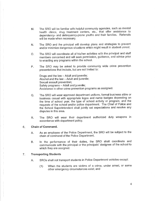- The SRO will be familiar with helpful community agencies, such as mental M. health clinics, drug treatment centers, etc., that offer assistance to dependency- and delinquency-prone youths and their families. Referrals will be made when necessary.
- The SRO and the principal will develop plans and strategies to prevent N. and/or minimize dangerous situations which might result in student unrest.
- The SRO will coordinate all of his/her activities with the principal and staff  $O<sub>r</sub>$ members concerned and will seek permission, guidance, and advice prior to enacting any programs within the school.
- The SRO may be asked to provide community wide crime prevention Ρ. presentations that include, but are not limited to:

Drugs and the law - Adult and juvenile; Alcohol and the law - Adult and juvenile; Sexual assault prevention; Safety programs - Adult and juvenile; Assistance in other crime prevention programs as assigned.

- The SRO will wear approved department uniform, formal business attire or Q. business casual with appropriate logos and name badges depending on the time of school year, the type of school activity or program, and the requests of the school and/or police department. The Chief of Police and the School Superintendent shall jointly set expectations and resolve any disputes in this area.
- The SRO will wear their department authorized duty weapons in R. accordance with department policy.

#### $6.$ **Chain of Command.**

- As an employee of the Police Department, the SRO will be subject to the A. chain of command of the Police Department.
- In the performance of their duties, the SRO shall coordinate and **B.** communicate with the principal or the principals' designee of the school to which they are assigned.

#### $7<sub>°</sub>$ **Transporting Students**

- SROs shall not transport students in Police Department vehicles except: Α.
	- When the students are victims of a crime, under arrest, or some  $(1)$ other emergency circumstances exist; and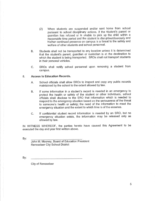- When students are suspended and/or sent home from school  $(2)$ pursuant to school disciplinary actions, if the student's parent or guardian has refused or is unable to pick up the child within a reasonable time period and the student is disruptive/disorderly and his/her continued presence on campus is a threat to the safety and welfare of other students and school personnel.
- Students shall not be transported to any location unless it is determined **B.** that the student's parent, guardian or custodian is at the destination to which the student is being transported. SROs shall not transport students in their personal vehicles.
- SROs shall notify school personnel upon removing a student from  $C_{\star}$ campus.

#### **Access to Education Records.** 8.

- School officials shall allow SROs to inspect and copy any public records A. maintained by the school to the extent allowed by law.
- If some information in a student's record is needed in an emergency to **B.** protect the health or safety of the student or other individuals, school officials shall disclose to the SRO that information which is needed to respond to the emergency situation based on the seriousness of the threat to someone's health or safety; the need of the information to meet the emergency situation and the extent to which time is of the essence.
- If confidential student record information is needed by an SRO, but no  $C_{1}$ emergency situation exists, the information may be released only as allowed by law.

IN WITNESS WHEREOF, the parties hereto have caused this Agreement to be executed the day and year first written above.

By:

John M. Mooney, Board of Education President **Rensselaer City School District** 

By:

City of Rensselaer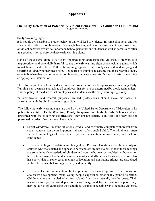# **Appendix C**

# **The Early Detection of Potentially Violent Behaviors – A Guide for Families and Communities**

#### **Early Warning Signs**

It is not always possible to predict behavior that will lead to violence. In some situations, and for some youth, different combinations of events, behaviors, and emotions may lead to aggressive rage or violent behavior toward self or others. School personnel and students as well as parents are often in a good position to observe these early warning signs.

None of these signs alone is sufficient for predicting aggression and violence. Moreover, it is inappropriate- and potentially harmful--to use the early warning signs as a checklist against which to match individual children. Rather, the warning signs are offered only as an aid in identifying and referring children who may need help. A good rule of thumb is to assume that these warning signs, especially when they are presented in combination, indicate a need for further analysis to determine an appropriate intervention.

The information that follows and such other information as may be appropriate concerning Early Warning shall be made available to all employees in a form to be determined by the Superintendent. It is the policy of the district that employees and students use the early warning signs only

for identification and referral purposes. Trained professionals should make diagnoses in consultation with the child's parents or guardian.

The following early warning signs are cited by the United States Department of Education in its publication entitled **Early Warning, Timely Response: A Guide to Safe Schools** and are presented with the following qualifications: they are not equally significant and they are not presented in order of seriousness. They include:

- Social withdrawal. In some situations, gradual and eventually complete withdrawal from social contacts can be an important indicator of a troubled child. The withdrawal often stems from feelings of depression, rejection, persecution, unworthiness, and lack of confidence.
- Excessive feelings of isolation and being alone. Research has shown that the majority of children who are isolated and appear to be friendless are not violent. In fact, these feelings are sometimes characteristic of children and youth who may be troubled, withdrawn, or have internal issues that hinder development of social affiliations. However, research also has shown that in some cases feelings of isolation and not having friends are associated with children who behave aggressively and violently.
- Excessive feelings of rejection. In the process of growing up, and in the course of adolescent development, many young people experience emotionally painful rejection. Children who are troubled often are isolated from their mentally healthy peers. Their responses to rejection will depend on many background factors. Without support, they may be at risk of expressing their emotional distress in negative ways-including violence.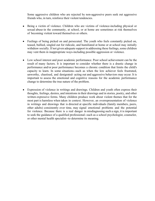Some aggressive children who are rejected by non-aggressive peers seek out aggressive friends who, in turn, reinforce their violent tendencies.

- Being a victim of violence. Children who are victims of violence-including physical or sexual abuse-in the community, at school, or at home are sometimes at risk themselves of becoming violent toward themselves or others.
- Feelings of being picked on and persecuted. The youth who feels constantly picked on, teased, bullied, singled out for ridicule, and humiliated at home or at school may initially withdraw socially. If not given adequate support in addressing these feelings, some children may vent them in inappropriate ways-including possible aggression or violence.
- Low school interest and poor academic performance. Poor school achievement can be the result of many factors. It is important to consider whether there is a drastic change in performance and/or poor performance becomes a chronic condition that limits the child's capacity to learn. In some situations--such as when the low achiever feels frustrated, unworthy, chastised, and denigrated- acting out and aggressive behaviors may occur. It is important to assess the emotional and cognitive reasons for the academic performance change to determine the true nature of the problem.
- Expression of violence in writings and drawings. Children and youth often express their thoughts, feelings, desires, and intentions in their drawings and in stories, poetry, and other written expressive forms. Many children produce work about violent themes that for the most part is harmless when taken in context. However, an overrepresentation of violence in writings and drawings that is directed at specific individuals (family members, peers, other adults) consistently over time, may signal emotional problems and the potential for violence. Because there is a real danger in misdiagnosing such a sign, it is important to seek the guidance of a qualified professional--such as a school psychologist, counselor, or other mental health specialist--to determine its meaning.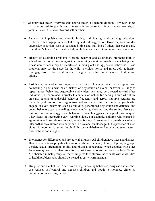- Uncontrolled anger. Everyone gets angry; anger is a natural emotion. However, anger that is expressed frequently and intensely in response to minor irritants may signal potential violent behavior toward self or others.
- Patterns of impulsive and chronic hitting, intimidating, and bullying behaviors. Children often engage in acts of shoving and mild aggression. However, some mildly aggressive behaviors such as constant hitting and bullying of others that occur early in children's lives, if left unattended, might later escalate into more serious behaviors.
- History of discipline problems. Chronic behavior and disciplinary problems both in school and at home may suggest that underlying emotional needs are not being met. These unmet needs may be manifested in acting out and aggressive behaviors. These problems may set the stage for the child to violate norms and rules, defy authority, disengage from school, and engage in aggressive behaviors with other children and adults.
- Past history of violent and aggressive behavior. Unless provided with support and counseling, a youth who has a history of aggressive or violent behavior is likely to repeat those behaviors. Aggressive and violent acts may be directed toward other individuals, be expressed in cruelty to animals, or include fire setting. Youth who show an early pattern of antisocial behavior frequently and across multiple settings are particularly at risk for future aggressive and antisocial behavior. Similarly, youth who engage in overt behaviors such as bullying, generalized aggression and defiance, and covert behaviors such as stealing, vandalism, lying, cheating, and fire setting also are at risk for more serious aggressive behavior. Research suggests that age of onset may be a key factor in interpreting early warning signs. For example, children who engage in aggression and drug abuse at an early age (before age 12) are more likely to show violence later on than are children who begin such behavior at an older age. In the presence of such signs it is important to review the child's history with behavioral experts and seek parents' observations and insights.
- Intolerance for differences and prejudicial attitudes. All children have likes and dislikes. However, an intense prejudice toward others based on racial, ethnic, religious, language, gender, sexual orientation, ability, and physical appearance--when coupled with other factors--may lead to violent assaults against those who are perceived to be different. Membership in hate groups or the willingness to victimize individuals with disabilities or health problems also should be treated as early warning signs.
- Drug use and alcohol use. Apart from being unhealthy behaviors, drug use and alcohol use reduces self-control and exposes children and youth to violence, either as perpetrators, as victims, or both.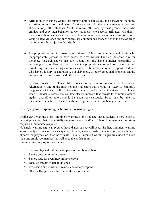- Affiliation with gangs**.** Gangs that support anti-social values and behaviors--including extortion, intimidation, and acts of violence toward other students--cause fear and stress among other students. Youth who are influenced by these groups--those who emulate and copy their behavior, as well as those who become affiliated with them- may adopt these values and act in violent or aggressive ways in certain situations. Gang-related violence and turf battles are common occurrences tied to the use of drugs that often result in injury and/or death.
- Inappropriate access to, possession and use of firearms. Children and youth who inappropriately possess or have access to firearms can have an increased risk for violence. Research shows that such youngsters also have a higher probability of becoming victims. Families can reduce inappropriate access and use by restricting, monitoring, and supervising children's access to firearms and other weapons. Children who have a history of aggression, impulsiveness, or other emotional problems should not have access to firearms and other weapons.
- Serious threats of violence. Idle threats are a common response to frustration. Alternatively, one of the most reliable indicators that a youth is likely to commit a dangerous act toward self or others is a detailed and specific threat to use violence. Recent incidents across the country clearly indicate that threats to commit violence against oneself or others should be taken very seriously. Steps must be taken to understand the nature of these threats and to prevent them from being carried out.

#### **Identifying and Responding to Imminent Warning Signs**

Unlike early warning signs, imminent warning signs indicate that a student is very close to behaving in a way that is potentially dangerous to self and/or to others. Imminent warning signs require an immediate response.

No single warning sign can predict that a dangerous act will occur. Rather, imminent warning signs usually are presented as a sequence of overt, serious, hostile behaviors or threats directed at peers, employees, or other individuals. Usually, imminent warning signs are evident to more than one employee member--as well as to the child's family.

Imminent warning signs may include:

- Serious physical fighting with peers or family members.
- Severe destruction of property.
- Severe rage for seemingly minor reasons.
- Detailed threats of lethal violence.
- Possession and/or use of firearms and other weapons.
- Other self-injurious behaviors or threats of suicide.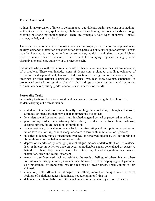#### **Threat Assessment**

A threat is an expression of intent to do harm or act out violently against someone or something. A threat can be written, spoken, or symbolic – as in motioning with one's hands as though shooting or strangling another person. There are principally four types of threats – direct, indirect, veiled, and conditional.

Threats are made for a variety of reasons: as a warning signal, a reaction to fear of punishment, anxiety, demand for attention or as retribution for a perceived or actual slight or affront. Threats may be intended to taunt, intimidate, assert power, punish, manipulate, coerce, frighten, terrorize, compel desired behavior, to strike back for an injury, injustice or slight; to be disruptive, to challenge authority or to protect oneself.

Individuals who make threats normally manifest other behaviors or emotions that are indicative of a problem. These can include: signs of depression, prolonged brooding, evidence of frustration or disappointment; fantasies of destruction or revenge in conversations, writings, drawings, or other actions; expressions of intense love, fear, rage, revenge, excitement or pronounced desire for recognition. Use of alcohol or drugs can be an aggravating factor, as can a romantic breakup, failing grades or conflicts with parents or friends.

#### **Personality Traits**

Personality traits and behaviors that should be considered in assessing the likelihood of a student carrying out a threat include:

- a student intentionally or unintentionally revealing clues to feelings, thoughts, fantasies, attitudes, or intentions that may signal an impending violent act;
- low tolerance of frustration, easily hurt, insulted, angered by real or perceived injustices;
- poor coping skills, demonstrating little ability to deal with frustration, criticism, disappointment, failure, rejection or humiliation;
- lack of resiliency, is unable to bounce back from frustrating and disappointing experiences; failed love relationship, cannot accept or comes to term with humiliation or rejection;
- injustice collector, nurse's resentment over real or perceived injustices, will not forgive or forget those who s/he believes are responsible;
- depression manifested by lethargy, physical fatigue, morose or dark outlook on life, malaise, lack of interest in activities once enjoyed, unpredictable anger, generalized or excessive hatred to others, hopelessness about the future, psychomotor agitation, restlessness, inattention, sleep and eating disorders;
- narcissism, self-centered, lacking insight to the needs / feelings of others, blames others for failure and disappointment, may embrace the role of victim, display signs of paranoia, self-importance, or grandiosity masking feelings of unworthiness, notably think or thin skinned;
- alienation, feels different or estranged from others, more than being a loner, involves feelings of isolation, sadness, loneliness, not belonging or fitting in;
- dehumanizes others, fails to see others as humans, sees them as objects to be thwarted;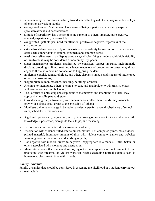- **Example 1** lacks empathy, demonstrates inability to understand feelings of others, may ridicule displays of emotion as weak or stupid;
- exaggerated sense of entitlement, has a sense of being superior and constantly expects special treatment and consideration;
- attitude of superiority, has a sense of being superior to others, smarter, more creative, talented, experienced, more worldly;
- exaggerated / pathological need for attention, positive or negative, regardless of the circumstances;
- externalizes blame, consistently refuses to take responsibility for own actions, blames others, often seems impervious to rational argument and common sense;
- masks low self-esteem, may display arrogance, self-glorifying attitude, avoids high visibility or involvement, may be considered a "non-entity" by peers:
- anger management problems, manifested by consistent temper tantrums, melodramatic displays, brooding, sulking, seething silence, reacts out of proportion to cause, may direct anger to those who have no connection to triggering incident;
- intolerance, racial, ethnic, religious, and other, displays symbols and slogans of intolerance on self or possessions;
- **·** inappropriate humor, macabre, insulting, belittling, or mean.
- Attempts to manipulate others, attempts to con, and manipulate to win trust so others will rationalize aberrant behavior;
- Lack of trust, is untrusting and suspicious of the motives and intentions of others, may approach clinically paranoid state;
- Closed social group, introverted, with acquaintances rather than friends, may associate only with a single small group to the exclusion of others;
- Manifests a dramatic change in behavior, academic performance, disobedience of school rules, schedules, dress codes etc.
- Rigid and opinionated, judgmental, and cynical, strong opinions on topics about which little knowledge is possessed, disregards facts, logic, and reasoning;
- Demonstrates unusual interest in sensational violence;
- Fascination with violence-filled entertainment, movies, TV, computer games, music videos, printed material, inordinate amount of time with violent computer games and websites involving violence weapons and disturbing objects;
- Has negative role models, drawn to negative, inappropriate role models, Hitler, Satan, or others associated with violence and destruction;
- Manifests behavior that is relevant to carrying out a threat, spends inordinate amount of time practicing with firearms, on violent websites, begins excluding normal pursuits such as homework, class, work, time with friends.

#### **Family Dynamics**

Family dynamics that should be considered in assessing the likelihood of a student carrying out a threat include: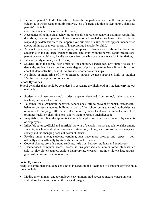Turbulent parent / child relationship, relationship is particularly difficult, can be uniquely evident following recent or multiple moves, loss of parent, addition of step-parent, dismisses parents' role in his

/ her life, evidence of violence in the home;

- Acceptance of pathological behavior, parents do not react to behavior that most would find disturbing' parents appear unable to recognize or acknowledge problems in their children, respond quite defensively to real or perceived criticism of child, parents appear unconcerned about, minimize or reject reports of inappropriate behavior by child;
- Access to weapons, family keeps guns, weapons, explosives materials in the home and accessible to the children, weapons treated carelessly, without normal safety precautions, parent or role model may handle weapons irresponsibly or use as device for intimidation;
- Lack of family intimacy or closeness;
- Student "rules the roost," few limits set for children, parents regularly submit to child's demands, student insists on inordinate degree of privacy, parents have little information about student activities, school life, friends, or other relationships.
- No limits or monitoring of TV or Internet, parents do not supervise, limit, or monitor TV, Internet, computer use or access.

#### **School Dynamics**

School dynamics that should be considered in assessing the likelihood of a student carrying out a threat include:

- Student attachment to school, student appears detached from school, other students, teachers, and school activities;
- Tolerance for disrespectful behavior, school does little to prevent or punish disrespectful behavior between students, bullying is part of the school culture, school authorities are oblivious to bullying, little or no intervention by school authorities, school atmosphere promotes racial or class divisions, allows them to remain unchallenged;
- **Inequitable discipline, discipline is inequitably applied or is perceived as such by students** or employees;
- Inflexible culture, official and unofficial patterns of behavior, values and relationships among students, teachers and administrators are static, unyielding, and insensitive to changes in society and the changing needs of newer students;
- **Pecking order among students, certain groups have more prestige and respect** both officially and unofficially by students and school officials;
- Code of silence, prevails among students, little trust between students and employees;
- Unsupervised computer access, access is unsupervised and unmonitored, students are able to play violent games, explore inappropriate websites, promote violent hate groups, give instruction in bomb making etc.

## **Social Dynamics**

Social dynamics that should be considered in assessing the likelihood of a student carrying out a threat include:

 Media, entertainment and technology, easy unmonitored access to media, entertainment and Internet sites with violent themes and images;